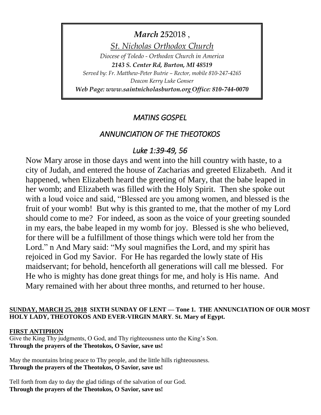*March* 252018, *St. Nicholas Orthodox Church Diocese of Toledo - Orthodox Church in America 2143 S. Center Rd, Burton, MI 48519 Served by: Fr. Matthew-Peter Butrie – Rector, mobile 810-247-4265 Deacon Kerry Luke Gonser Web Page: www.saintnicholasburton.org Office: 810-744-0070*

# *MATINS GOSPEL*

# *ANNUNCIATION OF THE THEOTOKOS*

# *Luke 1:39-49, 56*

Now Mary arose in those days and went into the hill country with haste, to a city of Judah, and entered the house of Zacharias and greeted Elizabeth. And it happened, when Elizabeth heard the greeting of Mary, that the babe leaped in her womb; and Elizabeth was filled with the Holy Spirit. Then she spoke out with a loud voice and said, "Blessed are you among women, and blessed is the fruit of your womb! But why is this granted to me, that the mother of my Lord should come to me? For indeed, as soon as the voice of your greeting sounded in my ears, the babe leaped in my womb for joy. Blessed is she who believed, for there will be a fulfillment of those things which were told her from the Lord." n And Mary said: "My soul magnifies the Lord, and my spirit has rejoiced in God my Savior. For He has regarded the lowly state of His maidservant; for behold, henceforth all generations will call me blessed. For He who is mighty has done great things for me, and holy is His name. And Mary remained with her about three months, and returned to her house.

### **SUNDAY, MARCH 25, 2018 SIXTH SUNDAY OF LENT — Tone 1. THE ANNUNCIATION OF OUR MOST HOLY LADY, THEOTOKOS AND EVER-VIRGIN MARY**. **St. Mary of Egypt.**

# **FIRST ANTIPHON**

Give the King Thy judgments, O God, and Thy righteousness unto the King's Son. **Through the prayers of the Theotokos, O Savior, save us!**

May the mountains bring peace to Thy people, and the little hills righteousness. **Through the prayers of the Theotokos, O Savior, save us!**

Tell forth from day to day the glad tidings of the salvation of our God. **Through the prayers of the Theotokos, O Savior, save us!**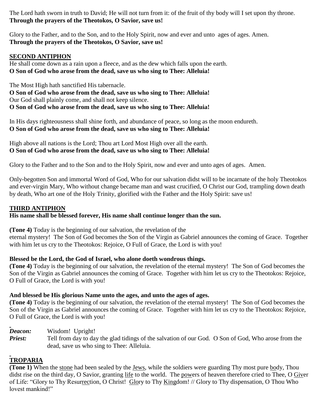The Lord hath sworn in truth to David; He will not turn from it: of the fruit of thy body will I set upon thy throne. **Through the prayers of the Theotokos, O Savior, save us!**

Glory to the Father, and to the Son, and to the Holy Spirit, now and ever and unto ages of ages. Amen. **Through the prayers of the Theotokos, O Savior, save us!**

### **SECOND ANTIPHON**

He shall come down as a rain upon a fleece, and as the dew which falls upon the earth. **O Son of God who arose from the dead, save us who sing to Thee: Alleluia!**

The Most High hath sanctified His tabernacle. **O Son of God who arose from the dead, save us who sing to Thee: Alleluia!** Our God shall plainly come, and shall not keep silence. **O Son of God who arose from the dead, save us who sing to Thee: Alleluia!**

In His days righteousness shall shine forth, and abundance of peace, so long as the moon endureth. **O Son of God who arose from the dead, save us who sing to Thee: Alleluia!**

High above all nations is the Lord; Thou art Lord Most High over all the earth. **O Son of God who arose from the dead, save us who sing to Thee: Alleluia!**

Glory to the Father and to the Son and to the Holy Spirit, now and ever and unto ages of ages. Amen.

Only-begotten Son and immortal Word of God, Who for our salvation didst will to be incarnate of the holy Theotokos and ever-virgin Mary, Who without change became man and wast crucified, O Christ our God, trampling down death by death, Who art one of the Holy Trinity, glorified with the Father and the Holy Spirit: save us!

#### **THIRD ANTIPHON**

#### **His name shall be blessed forever, His name shall continue longer than the sun.**

**(Tone 4)** Today is the beginning of our salvation, the revelation of the

eternal mystery! The Son of God becomes the Son of the Virgin as Gabriel announces the coming of Grace. Together with him let us cry to the Theotokos: Rejoice, O Full of Grace, the Lord is with you!

#### **Blessed be the Lord, the God of Israel, who alone doeth wondrous things.**

**(Tone 4)** Today is the beginning of our salvation, the revelation of the eternal mystery! The Son of God becomes the Son of the Virgin as Gabriel announces the coming of Grace. Together with him let us cry to the Theotokos: Rejoice, O Full of Grace, the Lord is with you!

#### **And blessed be His glorious Name unto the ages, and unto the ages of ages.**

**(Tone 4)** Today is the beginning of our salvation, the revelation of the eternal mystery! The Son of God becomes the Son of the Virgin as Gabriel announces the coming of Grace. Together with him let us cry to the Theotokos: Rejoice, O Full of Grace, the Lord is with you!

- *Deacon:* Wisdom! Upright!
- *Priest:* Tell from day to day the glad tidings of the salvation of our God. O Son of God, Who arose from the dead, save us who sing to Thee: Alleluia.

### **TROPARIA**

**(Tone 1)** When the stone had been sealed by the Jews, while the soldiers were guarding Thy most pure body, Thou didst rise on the third day, O Savior, granting life to the world. The powers of heaven therefore cried to Thee, O Giver of Life: "Glory to Thy Resurrection, O Christ! Glory to Thy Kingdom! // Glory to Thy dispensation, O Thou Who lovest mankind!"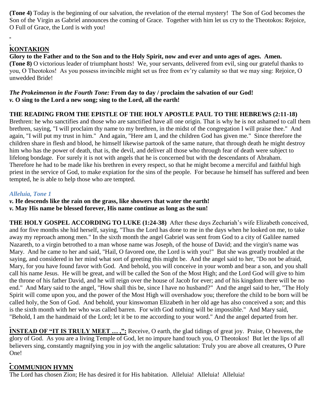**(Tone 4)** Today is the beginning of our salvation, the revelation of the eternal mystery! The Son of God becomes the Son of the Virgin as Gabriel announces the coming of Grace. Together with him let us cry to the Theotokos: Rejoice, O Full of Grace, the Lord is with you!

# **KONTAKION**

**Glory to the Father and to the Son and to the Holy Spirit, now and ever and unto ages of ages. Amen. (Tone 8)** O victorious leader of triumphant hosts! We, your servants, delivered from evil, sing our grateful thanks to you, O Theotokos! As you possess invincible might set us free from ev'ry calamity so that we may sing: Rejoice, O unwedded Bride!

#### *The Prokeimenon in the Fourth Tone:* **From day to day / proclaim the salvation of our God!** *v.* **O sing to the Lord a new song; sing to the Lord, all the earth!**

### **THE READING FROM THE EPISTLE OF THE HOLY APOSTLE PAUL TO THE HEBREWS (2:11-18)**

Brethren: he who sanctifies and those who are sanctified have all one origin. That is why he is not ashamed to call them brethren, saying, "I will proclaim thy name to my brethren, in the midst of the congregation I will praise thee." And again, "I will put my trust in him." And again, "Here am I, and the children God has given me." Since therefore the children share in flesh and blood, he himself likewise partook of the same nature, that through death he might destroy him who has the power of death, that is, the devil, and deliver all those who through fear of death were subject to lifelong bondage. For surely it is not with angels that he is concerned but with the descendants of Abraham. Therefore he had to be made like his brethren in every respect, so that he might become a merciful and faithful high priest in the service of God, to make expiation for the sins of the people. For because he himself has suffered and been tempted, he is able to help those who are tempted.

### *Alleluia, Tone 1*

- *v.* **He descends like the rain on the grass, like showers that water the earth!**
- *v.* **May His name be blessed forever, His name continue as long as the sun!**

**THE HOLY GOSPEL ACCORDING TO LUKE (1:24-38)** After these days Zechariah's wife Elizabeth conceived, and for five months she hid herself, saying, "Thus the Lord has done to me in the days when he looked on me, to take away my reproach among men." In the sixth month the angel Gabriel was sent from God to a city of Galilee named Nazareth, to a virgin betrothed to a man whose name was Joseph, of the house of David; and the virgin's name was Mary. And he came to her and said, "Hail, O favored one, the Lord is with you!" But she was greatly troubled at the saying, and considered in her mind what sort of greeting this might be. And the angel said to her, "Do not be afraid, Mary, for you have found favor with God. And behold, you will conceive in your womb and bear a son, and you shall call his name Jesus. He will be great, and will be called the Son of the Most High; and the Lord God will give to him the throne of his father David, and he will reign over the house of Jacob for ever; and of his kingdom there will be no end." And Mary said to the angel, "How shall this be, since I have no husband?" And the angel said to her, "The Holy Spirit will come upon you, and the power of the Most High will overshadow you; therefore the child to be born will be called holy, the Son of God. And behold, your kinswoman Elizabeth in her old age has also conceived a son; and this is the sixth month with her who was called barren. For with God nothing will be impossible." And Mary said, "Behold, I am the handmaid of the Lord; let it be to me according to your word." And the angel departed from her.

**INSTEAD OF "IT IS TRULY MEET ...,":** Receive, O earth, the glad tidings of great joy. Praise, O heavens, the glory of God. As you are a living Temple of God, let no impure hand touch you, O Theotokos! But let the lips of all believers sing, constantly magnifying you in joy with the angelic salutation: Truly you are above all creatures, O Pure One!

# **COMMUNION HYMN**

The Lord has chosen Zion; He has desired it for His habitation. Alleluia! Alleluia! Alleluia!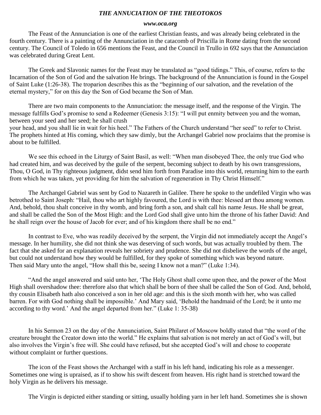#### *THE ANNUCIATION OF THE THEOTOKOS*

#### *www.oca.org*

The Feast of the Annunciation is one of the earliest Christian feasts, and was already being celebrated in the fourth century. There is a painting of the Annunciation in the catacomb of Priscilla in Rome dating from the second century. The Council of Toledo in 656 mentions the Feast, and the Council in Trullo in 692 says that the Annunciation was celebrated during Great Lent.

The Greek and Slavonic names for the Feast may be translated as "good tidings." This, of course, refers to the Incarnation of the Son of God and the salvation He brings. The background of the Annunciation is found in the Gospel of Saint Luke (1:26-38). The troparion describes this as the "beginning of our salvation, and the revelation of the eternal mystery," for on this day the Son of God became the Son of Man.

There are two main components to the Annunciation: the message itself, and the response of the Virgin. The message fulfills God's promise to send a Redeemer (Genesis 3:15): "I will put enmity between you and the woman, between your seed and her seed; he shall crush

your head, and you shall lie in wait for his heel." The Fathers of the Church understand "her seed" to refer to Christ. The prophets hinted at His coming, which they saw dimly, but the Archangel Gabriel now proclaims that the promise is about to be fulfilled.

We see this echoed in the Liturgy of Saint Basil, as well: "When man disobeyed Thee, the only true God who had created him, and was deceived by the guile of the serpent, becoming subject to death by his own transgressions, Thou, O God, in Thy righteous judgment, didst send him forth from Paradise into this world, returning him to the earth from which he was taken, yet providing for him the salvation of regeneration in Thy Christ Himself."

The Archangel Gabriel was sent by God to Nazareth in Galilee. There he spoke to the undefiled Virgin who was betrothed to Saint Joseph: "Hail, thou who art highly favoured, the Lord is with thee: blessed art thou among women. And, behold, thou shalt conceive in thy womb, and bring forth a son, and shalt call his name Jesus. He shall be great, and shall be called the Son of the Most High: and the Lord God shall give unto him the throne of his father David: And he shall reign over the house of Jacob for ever; and of his kingdom there shall be no end."

In contrast to Eve, who was readily deceived by the serpent, the Virgin did not immediately accept the Angel's message. In her humility, she did not think she was deserving of such words, but was actually troubled by them. The fact that she asked for an explanation reveals her sobriety and prudence. She did not disbelieve the words of the angel, but could not understand how they would be fulfilled, for they spoke of something which was beyond nature. Then said Mary unto the angel, "How shall this be, seeing I know not a man?" (Luke 1:34).

"And the angel answered and said unto her, 'The Holy Ghost shall come upon thee, and the power of the Most High shall overshadow thee: therefore also that which shall be born of thee shall be called the Son of God. And, behold, thy cousin Elisabeth hath also conceived a son in her old age: and this is the sixth month with her, who was called barren. For with God nothing shall be impossible.' And Mary said, 'Behold the handmaid of the Lord; be it unto me according to thy word.' And the angel departed from her." (Luke 1: 35-38)

In his Sermon 23 on the day of the Annunciation, Saint Philaret of Moscow boldly stated that "the word of the creature brought the Creator down into the world." He explains that salvation is not merely an act of God's will, but also involves the Virgin's free will. She could have refused, but she accepted God's will and chose to cooperate without complaint or further questions.

The icon of the Feast shows the Archangel with a staff in his left hand, indicating his role as a messenger. Sometimes one wing is upraised, as if to show his swift descent from heaven. His right hand is stretched toward the holy Virgin as he delivers his message.

The Virgin is depicted either standing or sitting, usually holding yarn in her left hand. Sometimes she is shown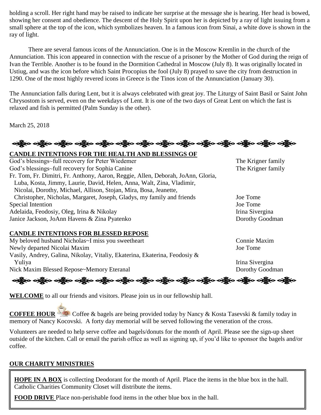holding a scroll. Her right hand may be raised to indicate her surprise at the message she is hearing. Her head is bowed, showing her consent and obedience. The descent of the Holy Spirit upon her is depicted by a ray of light issuing from a small sphere at the top of the icon, which symbolizes heaven. In a famous icon from Sinai, a white dove is shown in the ray of light.

There are several famous icons of the Annunciation. One is in the Moscow Kremlin in the church of the Annunciation. This icon appeared in connection with the rescue of a prisoner by the Mother of God during the reign of Ivan the Terrible. Another is to be found in the Dormition Cathedral in Moscow (July 8). It was originally located in Ustiug, and was the icon before which Saint Procopius the fool (July 8) prayed to save the city from destruction in 1290. One of the most highly revered icons in Greece is the Tinos icon of the Annunciation (January 30).

The Annunciation falls during Lent, but it is always celebrated with great joy. The Liturgy of Saint Basil or Saint John Chrysostom is served, even on the weekdays of Lent. It is one of the two days of Great Lent on which the fast is relaxed and fish is permitted (Palm Sunday is the other).

March 25, 2018

ခရွို့လ ခရွို့လ ခရွို့လ ခရွို့လ ခရွို့လ ခရွို့လ ခရွို့လ ခရွို့လ ခရွို့လ ခရွို့လ ခရွို့လ ခရွို့လ ခရွို့လ ခရွို့လ

**CANDLE INTENTIONS FOR THE HEALTH AND BLESSINGS OF** 

| God's blessings~full recovery for Peter Wiedemer                                 | The Krigner family |
|----------------------------------------------------------------------------------|--------------------|
| God's blessings~full recovery for Sophia Canine                                  | The Krigner family |
| Fr. Tom, Fr. Dimitri, Fr. Anthony, Aaron, Reggie, Allen, Deborah, JoAnn, Gloria, |                    |
| Luba, Kosta, Jimmy, Laurie, David, Helen, Anna, Walt, Zina, Vladimir,            |                    |
| Nicolai, Dorothy, Michael, Allison, Stojan, Mira, Bosa, Jeanette,                |                    |
| Christopher, Nicholas, Margaret, Joseph, Gladys, my family and friends           | Joe Tome           |
| Special Intention                                                                | Joe Tome           |
| Adelaida, Feodosiy, Oleg, Irina & Nikolay                                        | Irina Sivergina    |
| Janice Jackson, JoAnn Havens & Zina Pyatenko                                     | Dorothy Goodman    |
|                                                                                  |                    |

#### **CANDLE INTENTIONS FOR BLESSED REPOSE**

My beloved husband Nicholas~I miss you sweetheart Connie Maxim Newly departed Nicolai Maxim Joe Tome Vasily, Andrey, Galina, Nikolay, Vitaliy, Ekaterina, Ekaterina, Feodosiy & Yuliya Irina Sivergina Nick Maxim Blessed Repose~Memory Eteranal Dorothy Goodman

ခရွို့လ ခရွိ**့ သို့လ ခရွိသည့် သည့်လ ခရွိသည့်လ ခရွိသည့် သည်သည့်လ ခရွိသည့် သည်သည်လ ခရွိသည** 

**WELCOME** to all our friends and visitors. Please join us in our fellowship hall.

**COFFEE HOUR** Coffee & bagels are being provided today by Nancy & Kosta Tasevski & family today in memory of Nancy Kocovski. A forty day memorial will be served following the veneration of the cross.

Volunteers are needed to help serve coffee and bagels/donuts for the month of April. Please see the sign-up sheet outside of the kitchen. Call or email the parish office as well as signing up, if you'd like to sponsor the bagels and/or coffee.

# **OUR CHARITY MINISTRIES**

**HOPE IN A BOX** is collecting Deodorant for the month of April. Place the items in the blue box in the hall. Catholic Charities Community Closet will distribute the items.

**FOOD DRIVE** Place non-perishable food items in the other blue box in the hall.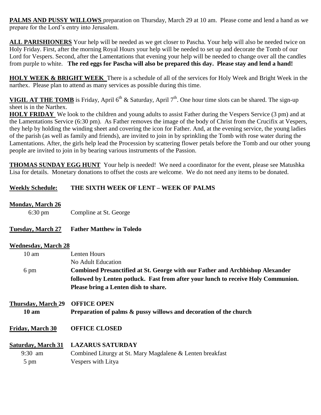**PALMS AND PUSSY WILLOWS** preparation on Thursday, March 29 at 10 am. Please come and lend a hand as we prepare for the Lord's entry into Jerusalem.

**ALL PARISHIONERS** Your help will be needed as we get closer to Pascha. Your help will also be needed twice on Holy Friday. First, after the morning Royal Hours your help will be needed to set up and decorate the Tomb of our Lord for Vespers. Second, after the Lamentations that evening your help will be needed to change over all the candles from purple to white. **The red eggs for Pascha will also be prepared this day. Please stay and lend a hand!**

**HOLY WEEK & BRIGHT WEEK** There is a schedule of all of the services for Holy Week and Bright Week in the narthex. Please plan to attend as many services as possible during this time.

**VIGIL AT THE TOMB** is Friday, April  $6<sup>th</sup>$  & Saturday, April  $7<sup>th</sup>$ . One hour time slots can be shared. The sign-up sheet is in the Narthex.

**HOLY FRIDAY** We look to the children and young adults to assist Father during the Vespers Service (3 pm) and at the Lamentations Service (6:30 pm). As Father removes the image of the body of Christ from the Crucifix at Vespers, they help by holding the winding sheet and covering the icon for Father. And, at the evening service, the young ladies of the parish (as well as family and friends), are invited to join in by sprinkling the Tomb with rose water during the Lamentations. After, the girls help lead the Procession by scattering flower petals before the Tomb and our other young people are invited to join in by bearing various instruments of the Passion.

**THOMAS SUNDAY EGG HUNT** Your help is needed! We need a coordinator for the event, please see Matushka Lisa for details. Monetary donations to offset the costs are welcome. We do not need any items to be donated.

### **Weekly Schedule: THE SIXTH WEEK OF LENT – WEEK OF PALMS**

**Monday, March 26**

|  | $6:30 \text{ pm}$ | Compline at St. George |
|--|-------------------|------------------------|
|--|-------------------|------------------------|

#### **Tuesday, March 27 Father Matthew in Toledo**

#### **Wednesday, March 28**

| $10 \text{ am}$    | Lenten Hours                                                                      |
|--------------------|-----------------------------------------------------------------------------------|
|                    | No Adult Education                                                                |
| 6 pm               | Combined Presanctified at St. George with our Father and Archbishop Alexander     |
|                    | followed by Lenten potluck. Fast from after your lunch to receive Holy Communion. |
|                    | Please bring a Lenten dish to share.                                              |
| Thursday, March 29 | <b>OFFICE OPEN</b>                                                                |
| $10 \text{ am}$    | Preparation of palms & pussy willows and decoration of the church                 |
| Friday, March 30   | <b>OFFICE CLOSED</b>                                                              |

#### **Saturday, March 31 LAZARUS SATURDAY**

9:30 am Combined Liturgy at St. Mary Magdalene & Lenten breakfast 5 pm Vespers with Litya